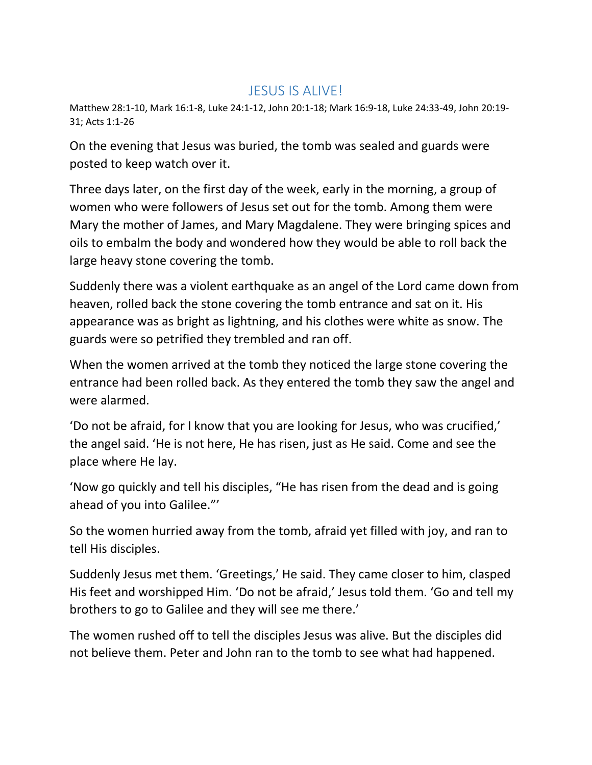## JESUS IS ALIVE!

Matthew 28:1-10, Mark 16:1-8, Luke 24:1-12, John 20:1-18; Mark 16:9-18, Luke 24:33-49, John 20:19- 31; Acts 1:1-26

On the evening that Jesus was buried, the tomb was sealed and guards were posted to keep watch over it.

Three days later, on the first day of the week, early in the morning, a group of women who were followers of Jesus set out for the tomb. Among them were Mary the mother of James, and Mary Magdalene. They were bringing spices and oils to embalm the body and wondered how they would be able to roll back the large heavy stone covering the tomb.

Suddenly there was a violent earthquake as an angel of the Lord came down from heaven, rolled back the stone covering the tomb entrance and sat on it. His appearance was as bright as lightning, and his clothes were white as snow. The guards were so petrified they trembled and ran off.

When the women arrived at the tomb they noticed the large stone covering the entrance had been rolled back. As they entered the tomb they saw the angel and were alarmed.

'Do not be afraid, for I know that you are looking for Jesus, who was crucified,' the angel said. 'He is not here, He has risen, just as He said. Come and see the place where He lay.

'Now go quickly and tell his disciples, "He has risen from the dead and is going ahead of you into Galilee."'

So the women hurried away from the tomb, afraid yet filled with joy, and ran to tell His disciples.

Suddenly Jesus met them. 'Greetings,' He said. They came closer to him, clasped His feet and worshipped Him. 'Do not be afraid,' Jesus told them. 'Go and tell my brothers to go to Galilee and they will see me there.'

The women rushed off to tell the disciples Jesus was alive. But the disciples did not believe them. Peter and John ran to the tomb to see what had happened.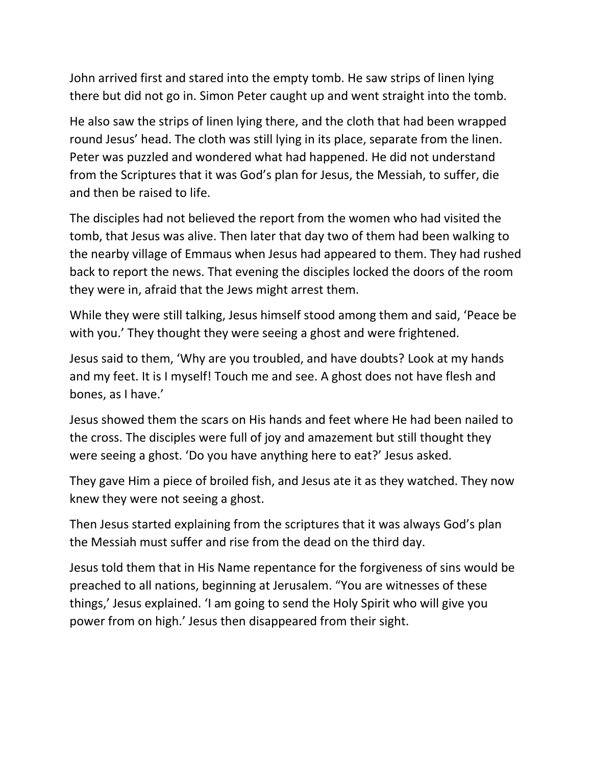John arrived first and stared into the empty tomb. He saw strips of linen lying there but did not go in. Simon Peter caught up and went straight into the tomb.

He also saw the strips of linen lying there, and the cloth that had been wrapped round Jesus' head. The cloth was still lying in its place, separate from the linen. Peter was puzzled and wondered what had happened. He did not understand from the Scriptures that it was God's plan for Jesus, the Messiah, to suffer, die and then be raised to life.

The disciples had not believed the report from the women who had visited the tomb, that Jesus was alive. Then later that day two of them had been walking to the nearby village of Emmaus when Jesus had appeared to them. They had rushed back to report the news. That evening the disciples locked the doors of the room they were in, afraid that the Jews might arrest them.

While they were still talking, Jesus himself stood among them and said, 'Peace be with you.' They thought they were seeing a ghost and were frightened.

Jesus said to them, 'Why are you troubled, and have doubts? Look at my hands and my feet. It is I myself! Touch me and see. A ghost does not have flesh and bones, as I have.'

Jesus showed them the scars on His hands and feet where He had been nailed to the cross. The disciples were full of joy and amazement but still thought they were seeing a ghost. 'Do you have anything here to eat?' Jesus asked.

They gave Him a piece of broiled fish, and Jesus ate it as they watched. They now knew they were not seeing a ghost.

Then Jesus started explaining from the scriptures that it was always God's plan the Messiah must suffer and rise from the dead on the third day.

Jesus told them that in His Name repentance for the forgiveness of sins would be preached to all nations, beginning at Jerusalem. "You are witnesses of these things,' Jesus explained. 'I am going to send the Holy Spirit who will give you power from on high.' Jesus then disappeared from their sight.